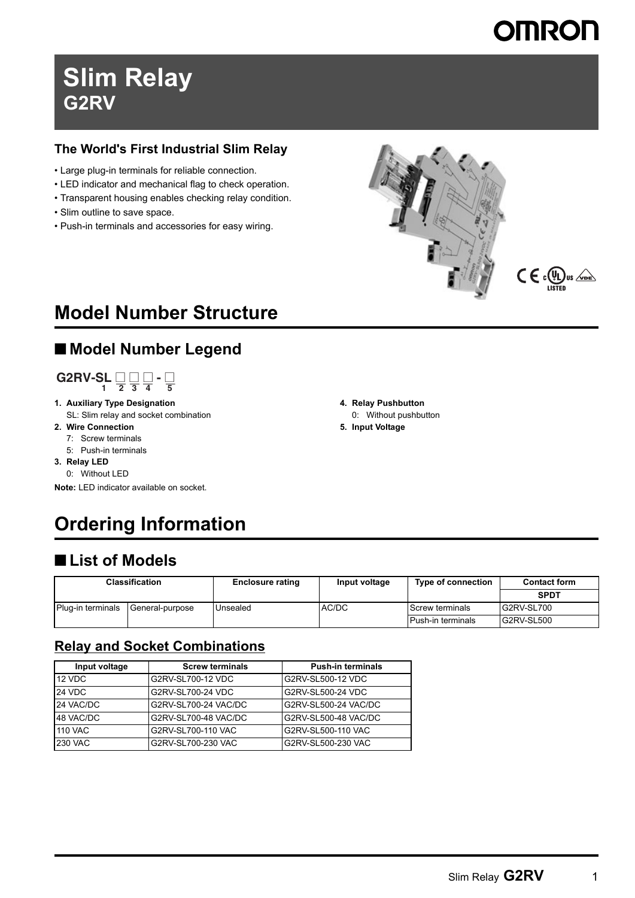# **Slim Relay G2RV**

#### **The World's First Industrial Slim Relay**

- Large plug-in terminals for reliable connection.
- LED indicator and mechanical flag to check operation.
- Transparent housing enables checking relay condition.
- Slim outline to save space.
- Push-in terminals and accessories for easy wiring.





# **Model Number Structure**

# ■ **Model Number Legend**

# $G2RV-SL \sqcup \qcup_1 \sqcup \qcup_2 \sqcup_3 \sqcup_4 - \sqcup_5$

- **1. Auxiliary Type Designation** SL: Slim relay and socket combination
- **2. Wire Connection**
	- 7: Screw terminals
	- 5: Push-in terminals
- **3. Relay LED**
- 0: Without LED

**Note:** LED indicator available on socket.

# **Ordering Information**

# ■ **List of Models**

| Classification    |                 | <b>Enclosure rating</b> | Input voltage | Type of connection | <b>Contact form</b> |
|-------------------|-----------------|-------------------------|---------------|--------------------|---------------------|
|                   |                 |                         |               |                    | <b>SPDT</b>         |
| Plug-in terminals | General-purpose | Unsealed                | AC/DC         | l Screw terminals  | G2RV-SL700          |
|                   |                 |                         |               | Push-in terminals  | G2RV-SL500          |

#### **Relay and Socket Combinations**

| Input voltage  | <b>Screw terminals</b> | <b>Push-in terminals</b> |
|----------------|------------------------|--------------------------|
| 12 VDC         | G2RV-SL700-12 VDC      | G2RV-SL500-12 VDC        |
| <b>24 VDC</b>  | G2RV-SL700-24 VDC      | G2RV-SL500-24 VDC        |
| 24 VAC/DC      | G2RV-SL700-24 VAC/DC   | G2RV-SL500-24 VAC/DC     |
| 48 VAC/DC      | G2RV-SL700-48 VAC/DC   | G2RV-SL500-48 VAC/DC     |
| <b>110 VAC</b> | G2RV-SL700-110 VAC     | G2RV-SL500-110 VAC       |
| <b>230 VAC</b> | G2RV-SL700-230 VAC     | G2RV-SL500-230 VAC       |

**4. Relay Pushbutton**

- 0: Without pushbutton
- **5. Input Voltage**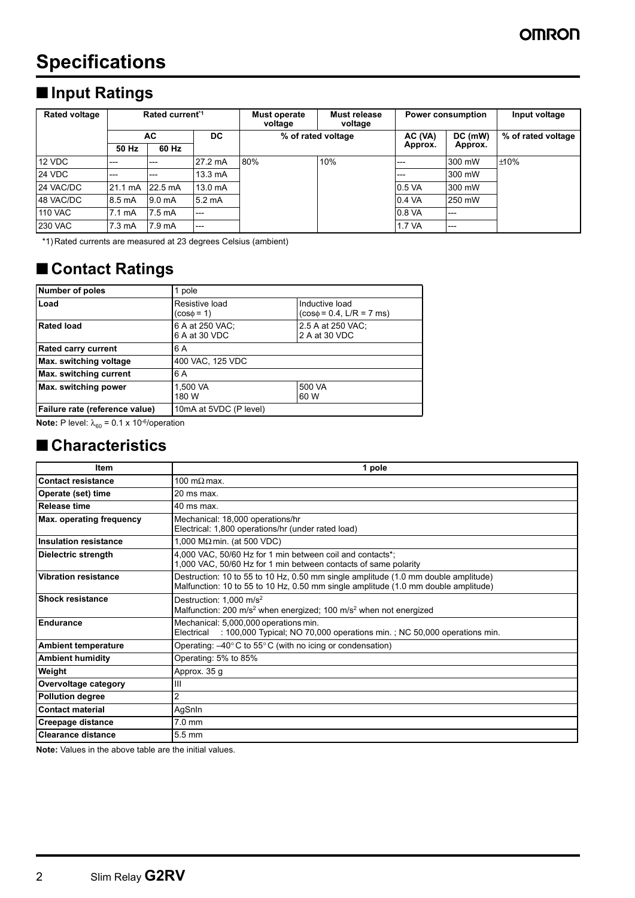# **Specifications**

# ■ **Input Ratings**

| Rated current <sup>*1</sup><br><b>Rated voltage</b> |                  |                    | Must operate<br>voltage | Must release<br>voltage |     | <b>Power consumption</b> | Input voltage |                    |
|-----------------------------------------------------|------------------|--------------------|-------------------------|-------------------------|-----|--------------------------|---------------|--------------------|
|                                                     | AC.              |                    | DC.                     | % of rated voltage      |     | AC (VA)                  | DC (mW)       | % of rated voltage |
|                                                     | 50 Hz            | 60 Hz              |                         |                         |     | Approx.                  | Approx.       |                    |
| 12 VDC                                              | $---$            | $---$              | 27.2 mA                 | 80%                     | 10% | ---                      | 300 mW        | ±10%               |
| 24 VDC                                              | $---$            | $---$              | $13.3 \text{ mA}$       |                         |     | ---                      | 300 mW        |                    |
| 24 VAC/DC                                           | 21.1 mA          | 22.5 mA            | 13.0 mA                 |                         |     | 0.5 VA                   | 300 mW        |                    |
| 48 VAC/DC                                           | 8.5 mA           | 9.0 <sub>m</sub> A | 5.2 mA                  |                         |     | 0.4 VA                   | 250 mW        |                    |
| <b>110 VAC</b>                                      | $7.1 \text{ mA}$ | 7.5 mA             | $---$                   |                         |     | 0.8 VA                   | $---$         |                    |
| <b>230 VAC</b>                                      | $7.3 \text{ mA}$ | 7.9 mA             | $---$                   |                         |     | 1.7 VA                   | $---$         |                    |

\*1) Rated currents are measured at 23 degrees Celsius (ambient)

# ■ **Contact Ratings**

| <b>Number of poles</b>         | 1 pole                            |                                                 |
|--------------------------------|-----------------------------------|-------------------------------------------------|
| Load                           | Resistive load<br>$(cos\phi = 1)$ | Inductive load<br>$(cos\phi = 0.4, L/R = 7$ ms) |
| <b>Rated load</b>              | 6 A at 250 VAC;<br>6 A at 30 VDC  | 2.5 A at 250 VAC:<br>2 A at 30 VDC              |
| <b>Rated carry current</b>     | 6 A                               |                                                 |
| Max. switching voltage         | 400 VAC, 125 VDC                  |                                                 |
| Max. switching current         | 6 A                               |                                                 |
| Max. switching power           | 1,500 VA<br>180 W                 | 500 VA<br>60 W                                  |
| Failure rate (reference value) | 10mA at 5VDC (P level)            |                                                 |

**Note:** P level:  $\lambda_{60}$  = 0.1 x 10<sup>-6</sup>/operation

### ■ **Characteristics**

| <b>Item</b>                     | 1 pole                                                                                                                                                                   |
|---------------------------------|--------------------------------------------------------------------------------------------------------------------------------------------------------------------------|
| Contact resistance              | 100 m $\Omega$ max.                                                                                                                                                      |
| Operate (set) time              | 20 ms max.                                                                                                                                                               |
| <b>Release time</b>             | 40 ms max.                                                                                                                                                               |
| <b>Max. operating frequency</b> | Mechanical: 18,000 operations/hr<br>Electrical: 1,800 operations/hr (under rated load)                                                                                   |
| <b>Insulation resistance</b>    | 1,000 M $\Omega$ min. (at 500 VDC)                                                                                                                                       |
| <b>Dielectric strength</b>      | 4,000 VAC, 50/60 Hz for 1 min between coil and contacts*;<br>1,000 VAC, 50/60 Hz for 1 min between contacts of same polarity                                             |
| <b>Vibration resistance</b>     | Destruction: 10 to 55 to 10 Hz, 0.50 mm single amplitude (1.0 mm double amplitude)<br>Malfunction: 10 to 55 to 10 Hz, 0.50 mm single amplitude (1.0 mm double amplitude) |
| <b>Shock resistance</b>         | Destruction: 1.000 m/s <sup>2</sup><br>Malfunction: 200 m/s <sup>2</sup> when energized; 100 m/s <sup>2</sup> when not energized                                         |
| Endurance                       | Mechanical: 5,000,000 operations min.<br>: 100,000 Typical; NO 70,000 operations min.; NC 50,000 operations min.<br>Electrical                                           |
| <b>Ambient temperature</b>      | Operating: $-40^{\circ}$ C to 55 $^{\circ}$ C (with no icing or condensation)                                                                                            |
| <b>Ambient humidity</b>         | Operating: 5% to 85%                                                                                                                                                     |
| Weight                          | Approx. 35 g                                                                                                                                                             |
| Overvoltage category            | Ш                                                                                                                                                                        |
| <b>Pollution degree</b>         | 2                                                                                                                                                                        |
| <b>Contact material</b>         | AgSnIn                                                                                                                                                                   |
| <b>Creepage distance</b>        | $7.0$ mm                                                                                                                                                                 |
| <b>Clearance distance</b>       | $5.5 \text{ mm}$                                                                                                                                                         |

**Note:** Values in the above table are the initial values.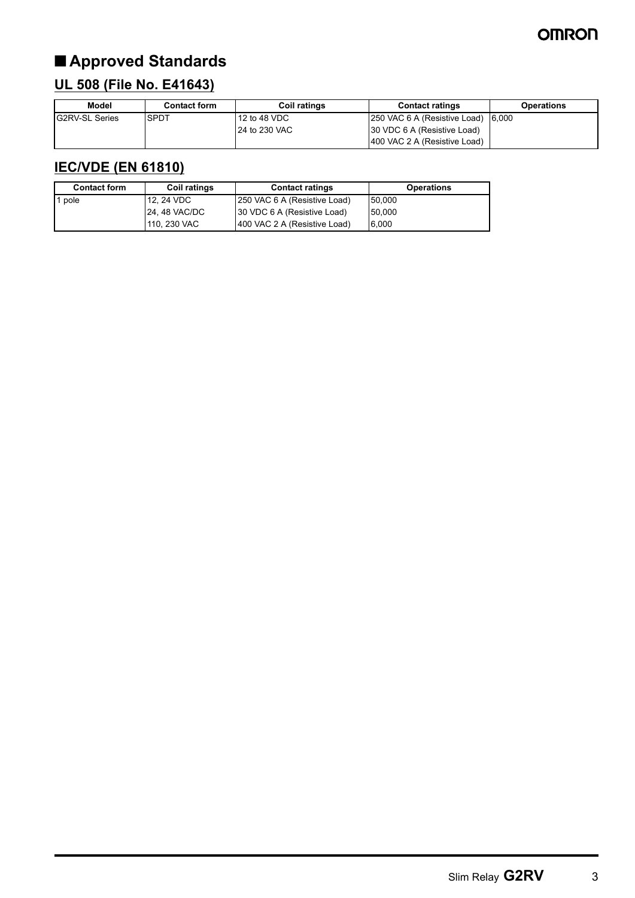# ■ **Approved Standards**

# **UL 508 (File No. E41643)**

| Model                  | <b>Contact form</b> | <b>Coil ratings</b> | <b>Contact ratings</b>       | Operations |
|------------------------|---------------------|---------------------|------------------------------|------------|
| <b>IG2RV-SL Series</b> | <b>SPDT</b>         | $12$ to 48 VDC      | 250 VAC 6 A (Resistive Load) | 6.000      |
|                        |                     | 24 to 230 VAC       | 30 VDC 6 A (Resistive Load)  |            |
|                        |                     |                     | 400 VAC 2 A (Resistive Load) |            |

## **IEC/VDE (EN 61810)**

| <b>Contact form</b> | <b>Coil ratings</b> | <b>Contact ratings</b>        | <b>Operations</b> |
|---------------------|---------------------|-------------------------------|-------------------|
| 1 pole              | 12.24 VDC           | [250 VAC 6 A (Resistive Load) | 50.000            |
|                     | <b>24.48 VAC/DC</b> | 30 VDC 6 A (Resistive Load)   | 50.000            |
|                     | 110, 230 VAC        | 400 VAC 2 A (Resistive Load)  | 6.000             |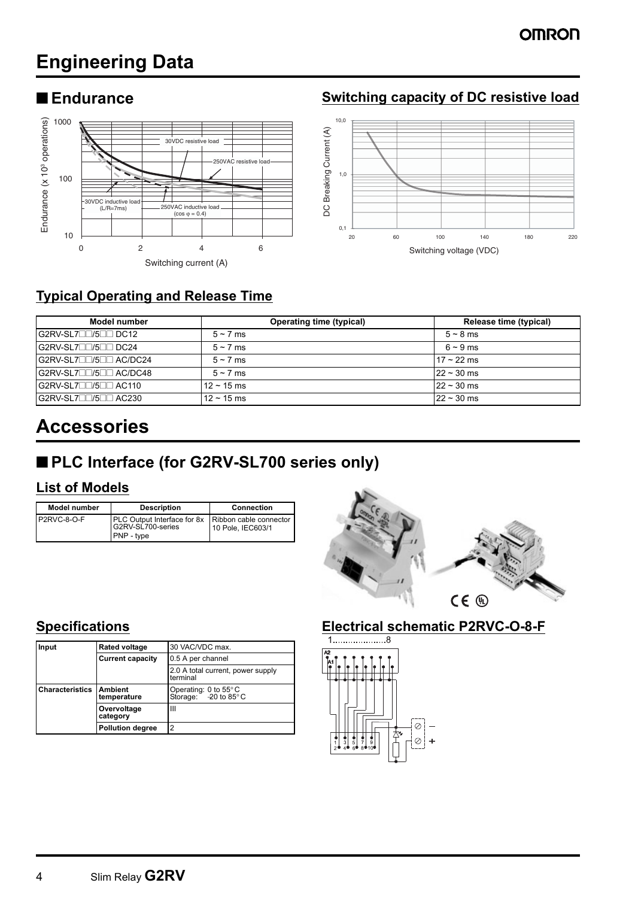# **Engineering Data**



## ■ **Endurance Endurance Switching capacity of DC resistive load**



## **Typical Operating and Release Time**

| Model number                          | <b>Operating time (typical)</b> | Release time (typical) |
|---------------------------------------|---------------------------------|------------------------|
| G2RV-SL7□□/5□□ DC12                   | $5 \sim 7$ ms                   | $5 \sim 8$ ms          |
| G2RV-SL7 <sup>1</sup> /5 <sup>1</sup> | $5 \sim 7$ ms                   | $6 \sim 9$ ms          |
| G2RV-SL700/500 AC/DC24                | $5 \sim 7$ ms                   | $17 - 22$ ms           |
| G2RV-SL7□□/5□□ AC/DC48                | $5 \sim 7$ ms                   | $22 \sim 30$ ms        |
| G2RV-SL7□□/5□□ AC110                  | $12 \sim 15 \text{ ms}$         | $22 \sim 30$ ms        |
| G2RV-SL7□□/5□□ AC230                  | $12 \sim 15 \text{ ms}$         | $22 \sim 30$ ms        |

# **Accessories**

# ■ **PLC Interface (for G2RV-SL700 series only)**

### **List of Models**

| <b>Model number</b> | <b>Description</b>                                                                           | <b>Connection</b> |
|---------------------|----------------------------------------------------------------------------------------------|-------------------|
| P2RVC-8-O-F         | <b>PLC Output Interface for 8x Ribbon cable connector</b><br>G2RV-SL700-series<br>PNP - type | 10 Pole, IEC603/1 |



| Input                  | <b>Rated voltage</b>          | 30 VAC/VDC max.                                                    |
|------------------------|-------------------------------|--------------------------------------------------------------------|
|                        | <b>Current capacity</b>       | 0.5 A per channel                                                  |
|                        |                               | 2.0 A total current, power supply<br>terminal                      |
| <b>Characteristics</b> | <b>Ambient</b><br>temperature | Operating: 0 to $55^{\circ}$ C<br>Storage: $-20$ to 85 $\degree$ C |
|                        | Overvoltage<br>category       | Ш                                                                  |
|                        | <b>Pollution degree</b>       | 2                                                                  |

#### **Specifications Electrical schematic P2RVC-O-8-F**

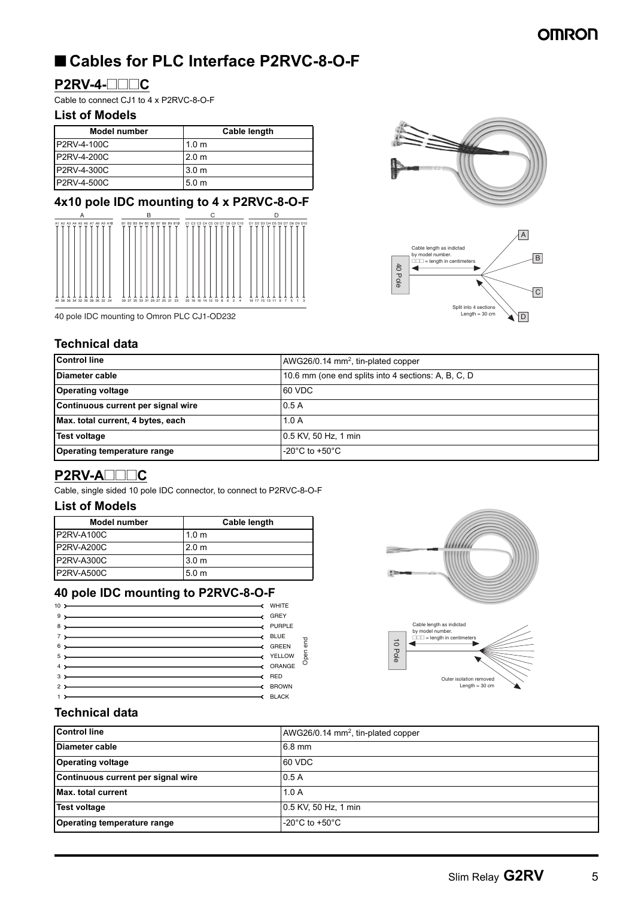# ■ Cables for PLC Interface P2RVC-8-O-F

#### **P2RV-4-@@@C**

Cable to connect CJ1 to 4 x P2RVC-8-O-F

#### **List of Models**

| Model number       | Cable length     |
|--------------------|------------------|
| <b>P2RV-4-100C</b> | 1.0 <sub>m</sub> |
| <b>P2RV-4-200C</b> | 2.0 <sub>m</sub> |
| P2RV-4-300C        | 3.0 <sub>m</sub> |
| P2RV-4-500C        | 5.0 <sub>m</sub> |

#### **4x10 pole IDC mounting to 4 x P2RVC-8-O-F**



40 pole IDC mounting to Omron PLC CJ1-OD232

#### **Technical data**

| Technical data                     |                                                     |  |  |  |
|------------------------------------|-----------------------------------------------------|--|--|--|
| <b>Control line</b>                | AWG26/0.14 $mm2$ , tin-plated copper                |  |  |  |
| Diameter cable                     | 10.6 mm (one end splits into 4 sections: A, B, C, D |  |  |  |
| <b>Operating voltage</b>           | 60 VDC                                              |  |  |  |
| Continuous current per signal wire | 0.5A                                                |  |  |  |
| Max. total current, 4 bytes, each  | 1.0A                                                |  |  |  |
| <b>Test voltage</b>                | 0.5 KV, 50 Hz, 1 min                                |  |  |  |
| Operating temperature range        | $-20^{\circ}$ C to $+50^{\circ}$ C                  |  |  |  |

#### **P2RV-A@@@C**

Cable, single sided 10 pole IDC connector, to connect to P2RVC-8-O-F

#### **List of Models**

| Model number      | Cable length     |
|-------------------|------------------|
| P2RV-A100C        | 1.0 <sub>m</sub> |
| <b>P2RV-A200C</b> | 2.0 <sub>m</sub> |
| P2RV-A300C        | 3.0 <sub>m</sub> |
| <b>P2RV-A500C</b> | 5.0 <sub>m</sub> |

#### **40 pole IDC mounting to P2RVC-8-O-F**

| $9 \rightarrow$ GREY                                                                                                                                                                                                                 |                         |
|--------------------------------------------------------------------------------------------------------------------------------------------------------------------------------------------------------------------------------------|-------------------------|
|                                                                                                                                                                                                                                      |                         |
| 8 > PURPLE                                                                                                                                                                                                                           |                         |
| 7 > BLUE                                                                                                                                                                                                                             |                         |
| 6 > GREEN                                                                                                                                                                                                                            |                         |
|                                                                                                                                                                                                                                      |                         |
| $\sim$ ORANGE                                                                                                                                                                                                                        |                         |
| <b>A RED</b> RED                                                                                                                                                                                                                     |                         |
| <b>SURFERENCE ASSESSED ASSESSED ASSESSED ASSESSED ASSESSED ASSESSED ASSESSED ASSESSED ASSESSED ASSESSED ASSESSED ASSESSED ASSESSED ASSESSED ASSESSED ASSESSED ASSESSED AND LOCAL AND A LOCAL AND A LOCAL AND A LOCAL AND A LOCAL</b> |                         |
|                                                                                                                                                                                                                                      |                         |
|                                                                                                                                                                                                                                      | Open end<br>BLACK BLACK |



#### **Technical data**

| <b>Control line</b>                | AWG26/0.14 mm <sup>2</sup> , tin-plated copper |
|------------------------------------|------------------------------------------------|
| Diameter cable                     | 6.8 mm                                         |
| <b>Operating voltage</b>           | 60 VDC                                         |
| Continuous current per signal wire | 0.5A                                           |
| <b>Max.</b> total current          | 1.0A                                           |
| <b>Test voltage</b>                | 0.5 KV, 50 Hz, 1 min                           |
| Operating temperature range        | -20 $^{\circ}$ C to +50 $^{\circ}$ C           |



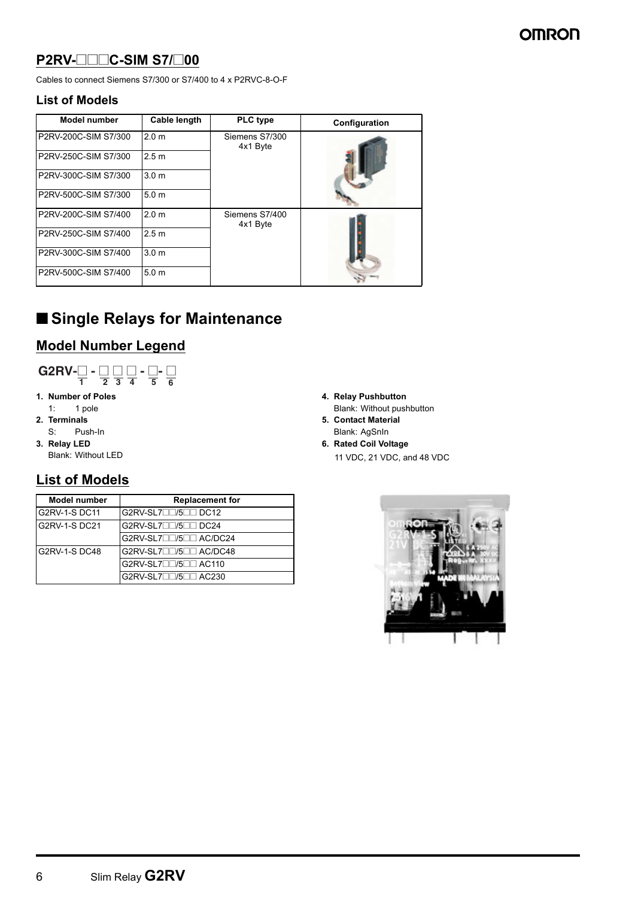#### **P2RV-@@@C-SIM S7/@00**

Cables to connect Siemens S7/300 or S7/400 to 4 x P2RVC-8-O-F

#### **List of Models**

| <b>Model number</b>  | Cable length     | <b>PLC</b> type            | Configuration |
|----------------------|------------------|----------------------------|---------------|
| P2RV-200C-SIM S7/300 | 2.0 <sub>m</sub> | Siemens S7/300<br>4x1 Byte |               |
| P2RV-250C-SIM S7/300 | 2.5 <sub>m</sub> |                            |               |
| P2RV-300C-SIM S7/300 | 3.0 <sub>m</sub> |                            |               |
| P2RV-500C-SIM S7/300 | 5.0 <sub>m</sub> |                            |               |
| P2RV-200C-SIM S7/400 | 2.0 <sub>m</sub> | Siemens S7/400<br>4x1 Byte |               |
| P2RV-250C-SIM S7/400 | 2.5 <sub>m</sub> |                            |               |
| P2RV-300C-SIM S7/400 | 3.0 <sub>m</sub> |                            |               |
| P2RV-500C-SIM S7/400 | 5.0 <sub>m</sub> |                            |               |

# ■ Single Relays for Maintenance

## **Model Number Legend**



- **1. Number of Poles**
- 1: 1 pole **2. Terminals**
- S: Push-In
- **3. Relay LED**
- Blank: Without LED

#### **List of Models**

| <b>Model number</b>  | <b>Replacement for</b> |
|----------------------|------------------------|
| <b>G2RV-1-S DC11</b> | G2RV-SL700/500 DC12    |
| G2RV-1-S DC21        | G2RV-SL700/500 DC24    |
|                      | G2RV-SL7□□/5□□ AC/DC24 |
| G2RV-1-SDC48         | G2RV-SL7□□/5□□ AC/DC48 |
|                      | G2RV-SL7□□/5□□ AC110   |
|                      | G2RV-SL7□□/5□□ AC230   |

- **4. Relay Pushbutton**
- Blank: Without pushbutton **5. Contact Material**
- Blank: AgSnIn **6. Rated Coil Voltage**
	- 11 VDC, 21 VDC, and 48 VDC

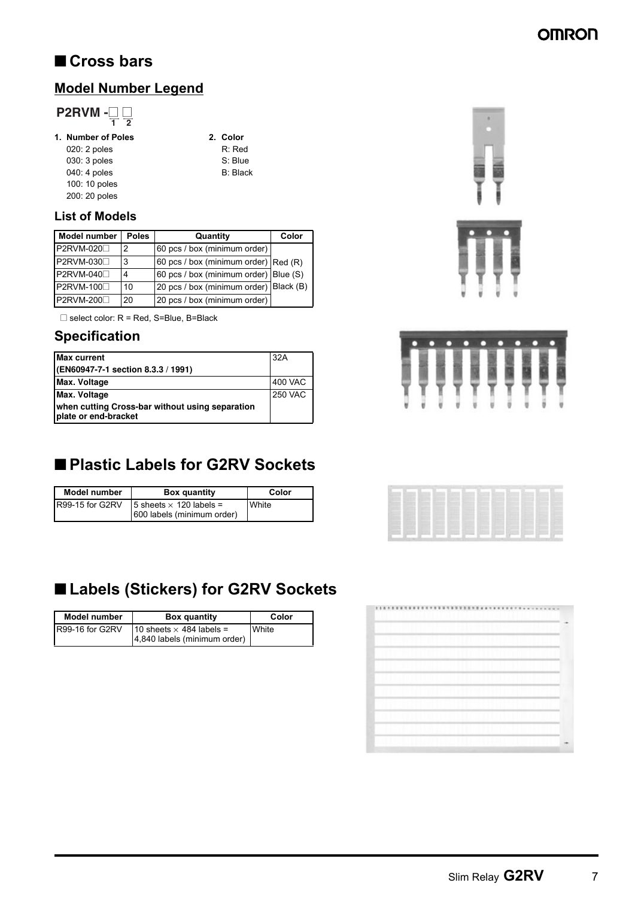# ■ **Cross bars**

### **Model Number Legend**

# **P2RVM -** $\frac{\square}{1}$  $\frac{\square}{2}$

#### **1. Number of Poles 2. Color**

- 020: 2 poles R: Red<br>
030: 3 poles S: Blue 030: 3 poles 040: 4 poles B: Black 100: 10 poles 200: 20 poles
- 

#### **List of Models**

| <b>Model number</b> | <b>Poles</b> | Quantity                                | Color |
|---------------------|--------------|-----------------------------------------|-------|
| P2RVM-020□          | 2            | 60 pcs / box (minimum order)            |       |
| P2RVM-030□          | 3            | 60 pcs / box (minimum order) $ Red(R) $ |       |
| P2RVM-040□          | 4            | 60 pcs / box (minimum order) Blue (S)   |       |
| P2RVM-100□          | 10           | 20 pcs / box (minimum order) Black (B)  |       |
| P2RVM-200           | 20           | 20 pcs / box (minimum order)            |       |

 $\square$  select color:  $R$  = Red, S=Blue, B=Black

#### **Specification**

| <b>Max current</b>                                                      | 32A            |
|-------------------------------------------------------------------------|----------------|
| (EN60947-7-1 section 8.3.3 / 1991)                                      |                |
| Max. Voltage                                                            | 400 VAC        |
| Max. Voltage                                                            | <b>250 VAC</b> |
| when cutting Cross-bar without using separation<br>plate or end-bracket |                |

# ■ **Plastic Labels for G2RV Sockets**

| <b>Model number</b> | <b>Box quantity</b>                                          | Color |
|---------------------|--------------------------------------------------------------|-------|
| R99-15 for G2RV     | 5 sheets $\times$ 120 labels =<br>600 labels (minimum order) | White |

# ■ **Labels (Stickers) for G2RV Sockets**

| <b>Model number</b> | <b>Box quantity</b>                                             | Color |
|---------------------|-----------------------------------------------------------------|-------|
| R99-16 for G2RV     | 10 sheets $\times$ 484 labels =<br>4,840 labels (minimum order) | White |









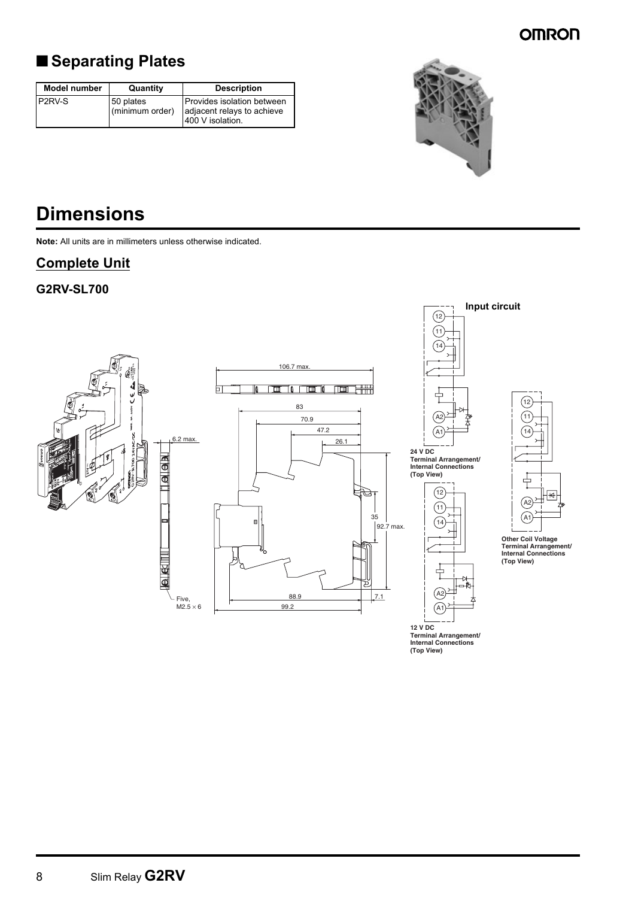# ■ **Separating Plates**

| <b>Model number</b> | Quantity                     | <b>Description</b>                                                            |
|---------------------|------------------------------|-------------------------------------------------------------------------------|
| P <sub>2RV-S</sub>  | 50 plates<br>(minimum order) | Provides isolation between<br>adjacent relays to achieve<br>1400 V isolation. |



# **Dimensions**

**Note:** All units are in millimeters unless otherwise indicated.

#### **Complete Unit**

#### **G2RV-SL700**



**12 V DC Terminal Arrangement/ Internal Connections (Top View)**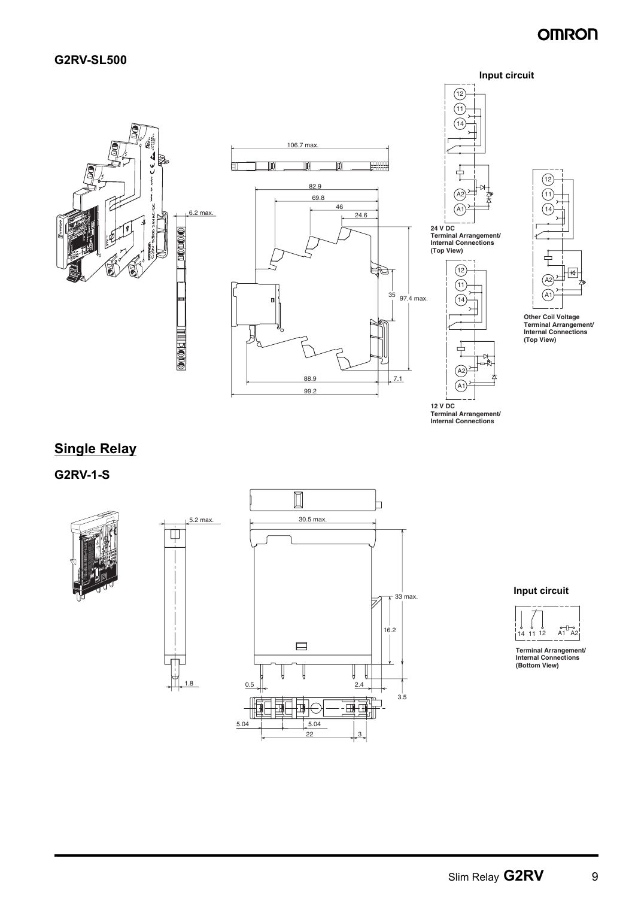





**Terminal Arrangement/ Internal Connections (Top View)**



**Terminal Arrangement/ Internal Connections**

# 12 11 14 A1 ້∆ 2

**Other Coil Voltage Terminal Arrangement/ Internal Connections (Top View)**

## **Single Relay**

**G2RV-1-S**



 $\dot{\mathbb{P}}$ 







**Terminal Arrangement/ Internal Connections (Bottom View)**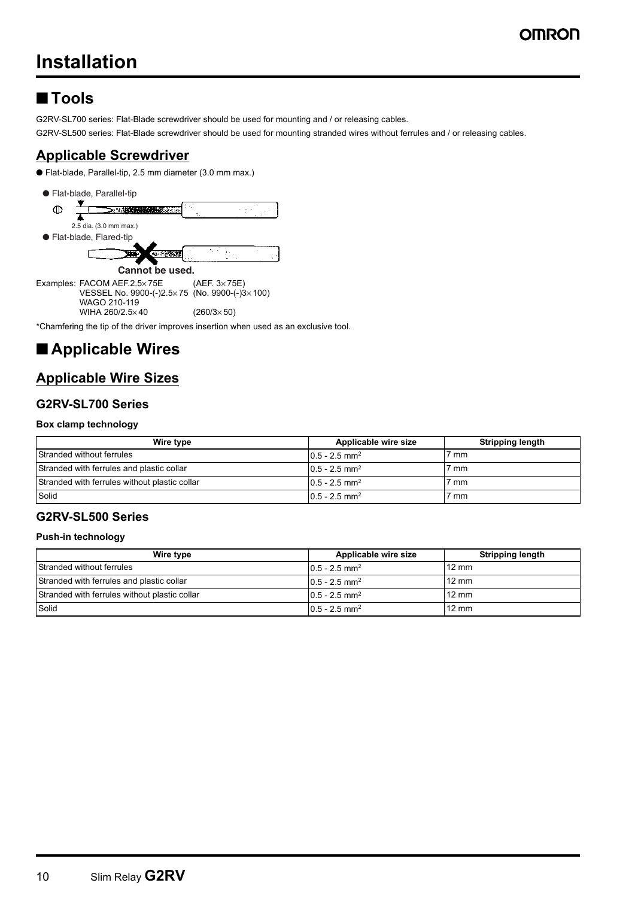# **Installation**

# ■ **Tools**

G2RV-SL700 series: Flat-Blade screwdriver should be used for mounting and / or releasing cables.

G2RV-SL500 series: Flat-Blade screwdriver should be used for mounting stranded wires without ferrules and / or releasing cables.

#### **Applicable Screwdriver**

● Flat-blade, Parallel-tip, 2.5 mm diameter (3.0 mm max.)



\*Chamfering the tip of the driver improves insertion when used as an exclusive tool.

# ■ **Applicable Wires**

#### **Applicable Wire Sizes**

#### **G2RV-SL700 Series**

#### **Box clamp technology**

| Wire type                                     | Applicable wire size         | <b>Stripping length</b> |
|-----------------------------------------------|------------------------------|-------------------------|
| Stranded without ferrules                     | $10.5 - 2.5$ mm <sup>2</sup> | 7 mm                    |
| Stranded with ferrules and plastic collar     | $10.5 - 2.5$ mm <sup>2</sup> | 7 mm                    |
| Stranded with ferrules without plastic collar | $0.5 - 2.5$ mm <sup>2</sup>  | 7 mm                    |
| Solid                                         | $10.5 - 2.5$ mm <sup>2</sup> | 7 mm                    |

#### **G2RV-SL500 Series**

#### **Push-in technology**

| Wire type                                     | Applicable wire size         | <b>Stripping length</b> |
|-----------------------------------------------|------------------------------|-------------------------|
| Stranded without ferrules                     | $10.5 - 2.5$ mm <sup>2</sup> | $12 \text{ mm}$         |
| Stranded with ferrules and plastic collar     | $10.5 - 2.5$ mm <sup>2</sup> | $12 \text{ mm}$         |
| Stranded with ferrules without plastic collar | $0.5 - 2.5$ mm <sup>2</sup>  | $12 \text{ mm}$         |
| Solid                                         | $0.5 - 2.5$ mm <sup>2</sup>  | $12 \text{ mm}$         |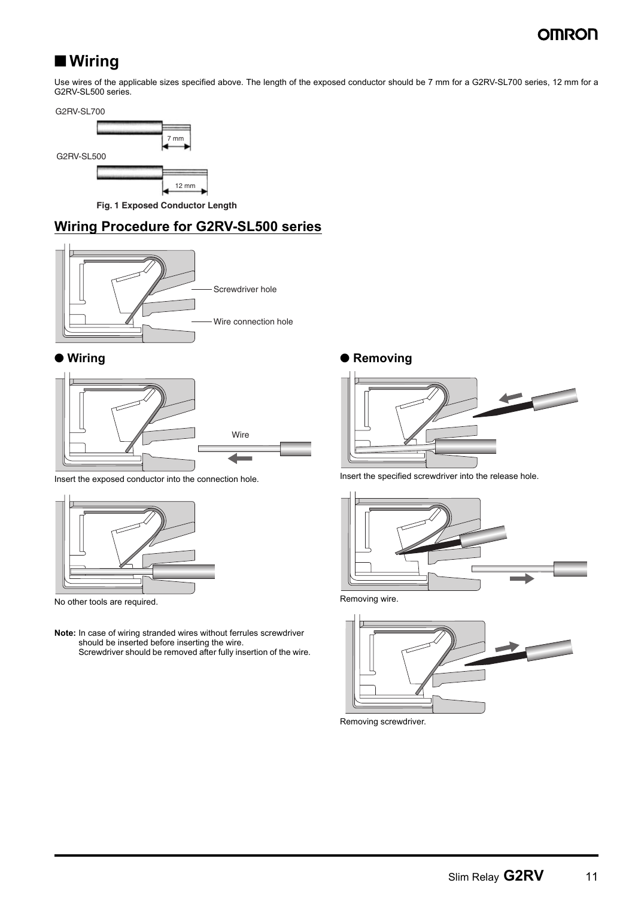# ■ Wiring

Use wires of the applicable sizes specified above. The length of the exposed conductor should be 7 mm for a G2RV-SL700 series, 12 mm for a G2RV-SL500 series.

G2RV-SL700



**Fig. 1 Exposed Conductor Length**

#### **Wiring Procedure for G2RV-SL500 series**



#### ● **Wiring**



Insert the exposed conductor into the connection hole.



No other tools are required.

**Note:** In case of wiring stranded wires without ferrules screwdriver should be inserted before inserting the wire. Screwdriver should be removed after fully insertion of the wire.

#### ● **Removing**



Insert the specified screwdriver into the release hole.



Removing wire.



Removing screwdriver.